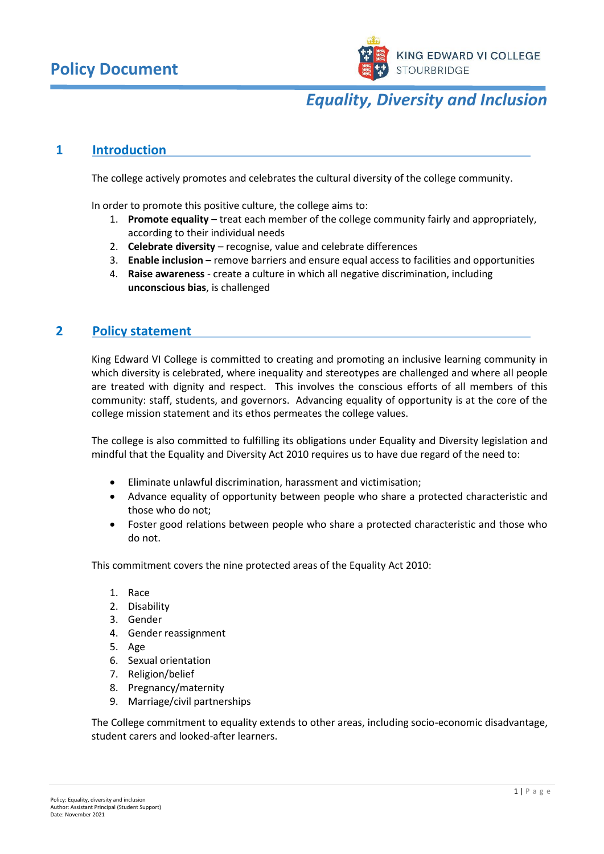

# *Equality, Diversity and Inclusion*

## **1 Introduction**

The college actively promotes and celebrates the cultural diversity of the college community.

In order to promote this positive culture, the college aims to:

- 1. **Promote equality**  treat each member of the college community fairly and appropriately, according to their individual needs
- 2. **Celebrate diversity** recognise, value and celebrate differences
- 3. **Enable inclusion** remove barriers and ensure equal access to facilities and opportunities
- 4. **Raise awareness** create a culture in which all negative discrimination, including **unconscious bias**, is challenged

## **2 Policy statement**

King Edward VI College is committed to creating and promoting an inclusive learning community in which diversity is celebrated, where inequality and stereotypes are challenged and where all people are treated with dignity and respect. This involves the conscious efforts of all members of this community: staff, students, and governors. Advancing equality of opportunity is at the core of the college mission statement and its ethos permeates the college values.

The college is also committed to fulfilling its obligations under Equality and Diversity legislation and mindful that the Equality and Diversity Act 2010 requires us to have due regard of the need to:

- Eliminate unlawful discrimination, harassment and victimisation;
- Advance equality of opportunity between people who share a protected characteristic and those who do not;
- Foster good relations between people who share a protected characteristic and those who do not.

This commitment covers the nine protected areas of the Equality Act 2010:

- 1. Race
- 2. Disability
- 3. Gender
- 4. Gender reassignment
- 5. Age
- 6. Sexual orientation
- 7. Religion/belief
- 8. Pregnancy/maternity
- 9. Marriage/civil partnerships

The College commitment to equality extends to other areas, including socio-economic disadvantage, student carers and looked-after learners.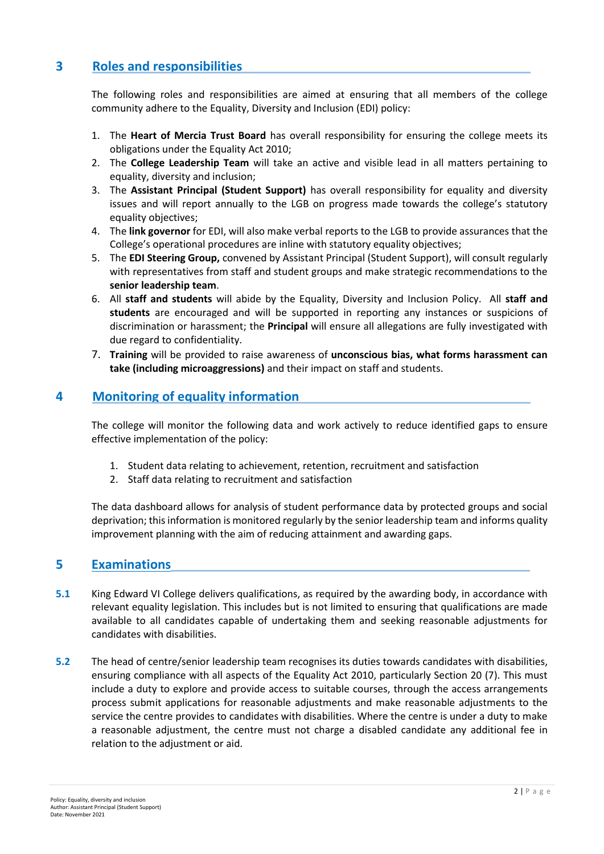## **3 Roles and responsibilities**

The following roles and responsibilities are aimed at ensuring that all members of the college community adhere to the Equality, Diversity and Inclusion (EDI) policy:

- 1. The **Heart of Mercia Trust Board** has overall responsibility for ensuring the college meets its obligations under the Equality Act 2010;
- 2. The **College Leadership Team** will take an active and visible lead in all matters pertaining to equality, diversity and inclusion;
- 3. The **Assistant Principal (Student Support)** has overall responsibility for equality and diversity issues and will report annually to the LGB on progress made towards the college's statutory equality objectives;
- 4. The **link governor** for EDI, will also make verbal reports to the LGB to provide assurances that the College's operational procedures are inline with statutory equality objectives;
- 5. The **EDI Steering Group,** convened by Assistant Principal (Student Support), will consult regularly with representatives from staff and student groups and make strategic recommendations to the **senior leadership team**.
- 6. All **staff and students** will abide by the Equality, Diversity and Inclusion Policy. All **staff and students** are encouraged and will be supported in reporting any instances or suspicions of discrimination or harassment; the **Principal** will ensure all allegations are fully investigated with due regard to confidentiality.
- 7. **Training** will be provided to raise awareness of **unconscious bias, what forms harassment can take (including microaggressions)** and their impact on staff and students.

## **4 Monitoring of equality information**

The college will monitor the following data and work actively to reduce identified gaps to ensure effective implementation of the policy:

- 1. Student data relating to achievement, retention, recruitment and satisfaction
- 2. Staff data relating to recruitment and satisfaction

The data dashboard allows for analysis of student performance data by protected groups and social deprivation; this information is monitored regularly by the senior leadership team and informs quality improvement planning with the aim of reducing attainment and awarding gaps.

## **5 Examinations**

- **5.1** King Edward VI College delivers qualifications, as required by the awarding body, in accordance with relevant equality legislation. This includes but is not limited to ensuring that qualifications are made available to all candidates capable of undertaking them and seeking reasonable adjustments for candidates with disabilities.
- **5.2** The head of centre/senior leadership team recognises its duties towards candidates with disabilities, ensuring compliance with all aspects of the Equality Act 2010, particularly Section 20 (7). This must include a duty to explore and provide access to suitable courses, through the access arrangements process submit applications for reasonable adjustments and make reasonable adjustments to the service the centre provides to candidates with disabilities. Where the centre is under a duty to make a reasonable adjustment, the centre must not charge a disabled candidate any additional fee in relation to the adjustment or aid.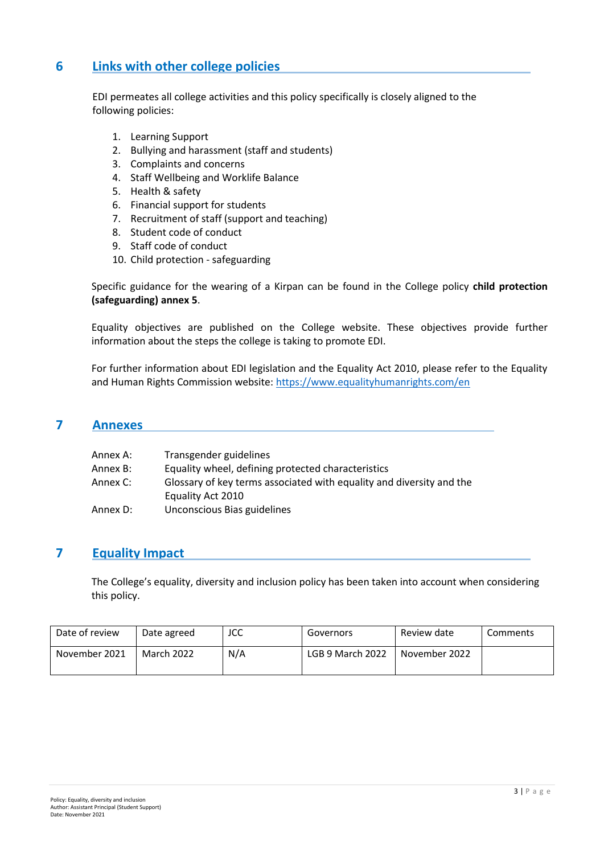## **6 Links with other college policies**

EDI permeates all college activities and this policy specifically is closely aligned to the following policies:

- 1. Learning Support
- 2. Bullying and harassment (staff and students)
- 3. Complaints and concerns
- 4. Staff Wellbeing and Worklife Balance
- 5. Health & safety
- 6. Financial support for students
- 7. Recruitment of staff (support and teaching)
- 8. Student code of conduct
- 9. Staff code of conduct
- 10. Child protection safeguarding

Specific guidance for the wearing of a Kirpan can be found in the College policy **child protection (safeguarding) annex 5**.

Equality objectives are published on the College website. These objectives provide further information about the steps the college is taking to promote EDI.

For further information about EDI legislation and the Equality Act 2010, please refer to the Equality and Human Rights Commission website:<https://www.equalityhumanrights.com/en>

## **7 Annexes**

| Annex A:   | Transgender guidelines                                               |
|------------|----------------------------------------------------------------------|
| Annex B:   | Equality wheel, defining protected characteristics                   |
| Annex C: I | Glossary of key terms associated with equality and diversity and the |
|            | Equality Act 2010                                                    |
| Annex D:   | Unconscious Bias guidelines                                          |
|            |                                                                      |

## **7 Equality Impact**

The College's equality, diversity and inclusion policy has been taken into account when considering this policy.

| Date of review | Date agreed | JCC | Governors        | Review date   | Comments |
|----------------|-------------|-----|------------------|---------------|----------|
| November 2021  | March 2022  | N/A | LGB 9 March 2022 | November 2022 |          |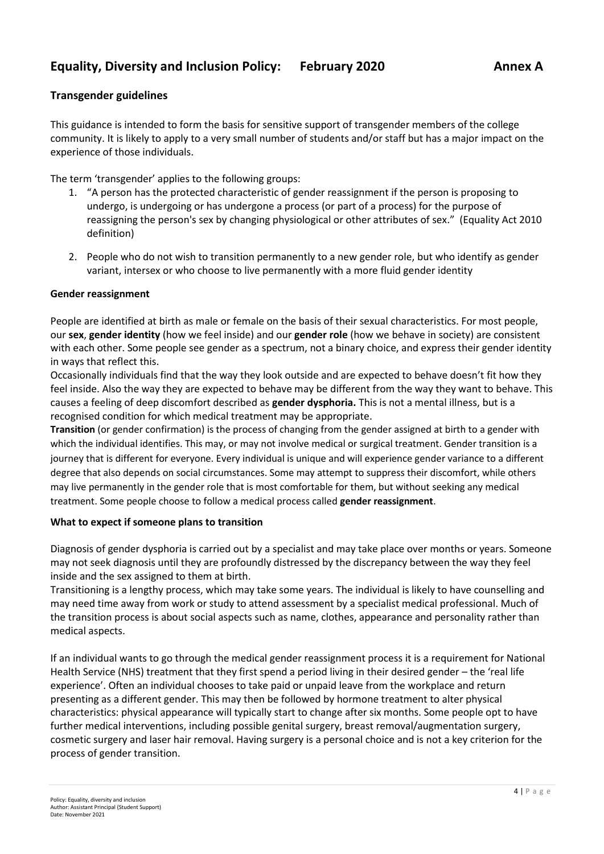## **Transgender guidelines**

This guidance is intended to form the basis for sensitive support of transgender members of the college community. It is likely to apply to a very small number of students and/or staff but has a major impact on the experience of those individuals.

The term 'transgender' applies to the following groups:

- 1. "A person has the protected characteristic of gender reassignment if the person is proposing to undergo, is undergoing or has undergone a process (or part of a process) for the purpose of reassigning the person's sex by changing physiological or other attributes of sex." (Equality Act 2010 definition)
- 2. People who do not wish to transition permanently to a new gender role, but who identify as gender variant, intersex or who choose to live permanently with a more fluid gender identity

### **Gender reassignment**

People are identified at birth as male or female on the basis of their sexual characteristics. For most people, our **sex**, **gender identity** (how we feel inside) and our **gender role** (how we behave in society) are consistent with each other. Some people see gender as a spectrum, not a binary choice, and express their gender identity in ways that reflect this.

Occasionally individuals find that the way they look outside and are expected to behave doesn't fit how they feel inside. Also the way they are expected to behave may be different from the way they want to behave. This causes a feeling of deep discomfort described as **gender dysphoria.** This is not a mental illness, but is a recognised condition for which medical treatment may be appropriate.

**Transition** (or gender confirmation) is the process of changing from the gender assigned at birth to a gender with which the individual identifies. This may, or may not involve medical or surgical treatment. Gender transition is a journey that is different for everyone. Every individual is unique and will experience gender variance to a different degree that also depends on social circumstances. Some may attempt to suppress their discomfort, while others may live permanently in the gender role that is most comfortable for them, but without seeking any medical treatment. Some people choose to follow a medical process called **gender reassignment**.

#### **What to expect if someone plans to transition**

Diagnosis of gender dysphoria is carried out by a specialist and may take place over months or years. Someone may not seek diagnosis until they are profoundly distressed by the discrepancy between the way they feel inside and the sex assigned to them at birth.

Transitioning is a lengthy process, which may take some years. The individual is likely to have counselling and may need time away from work or study to attend assessment by a specialist medical professional. Much of the transition process is about social aspects such as name, clothes, appearance and personality rather than medical aspects.

If an individual wants to go through the medical gender reassignment process it is a requirement for National Health Service (NHS) treatment that they first spend a period living in their desired gender – the 'real life experience'. Often an individual chooses to take paid or unpaid leave from the workplace and return presenting as a different gender. This may then be followed by hormone treatment to alter physical characteristics: physical appearance will typically start to change after six months. Some people opt to have further medical interventions, including possible genital surgery, breast removal/augmentation surgery, cosmetic surgery and laser hair removal. Having surgery is a personal choice and is not a key criterion for the process of gender transition.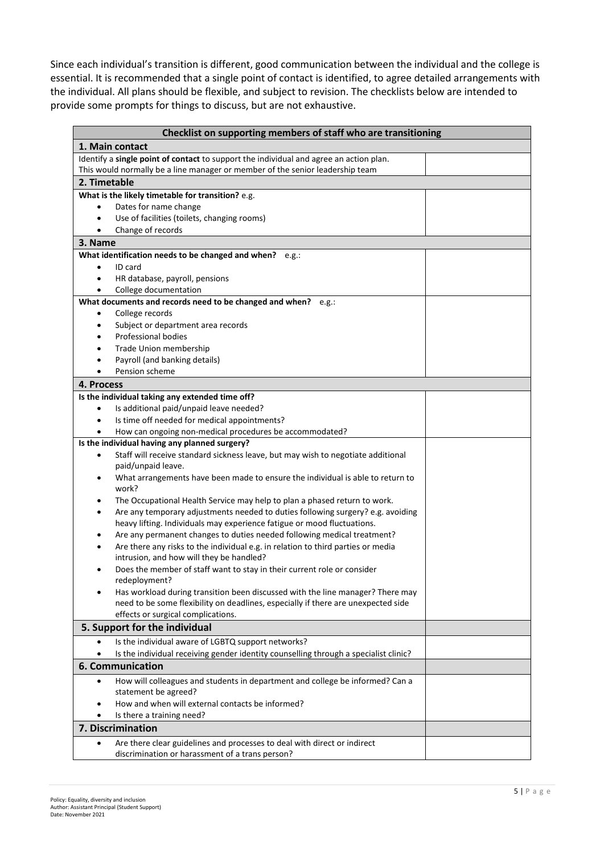Since each individual's transition is different, good communication between the individual and the college is essential. It is recommended that a single point of contact is identified, to agree detailed arrangements with the individual. All plans should be flexible, and subject to revision. The checklists below are intended to provide some prompts for things to discuss, but are not exhaustive.

| Checklist on supporting members of staff who are transitioning |                                                                                                                                                            |  |  |  |  |
|----------------------------------------------------------------|------------------------------------------------------------------------------------------------------------------------------------------------------------|--|--|--|--|
|                                                                | 1. Main contact                                                                                                                                            |  |  |  |  |
|                                                                | Identify a single point of contact to support the individual and agree an action plan.                                                                     |  |  |  |  |
|                                                                | This would normally be a line manager or member of the senior leadership team                                                                              |  |  |  |  |
| 2. Timetable                                                   |                                                                                                                                                            |  |  |  |  |
|                                                                | What is the likely timetable for transition? e.g.                                                                                                          |  |  |  |  |
| ٠                                                              | Dates for name change                                                                                                                                      |  |  |  |  |
| $\bullet$                                                      | Use of facilities (toilets, changing rooms)                                                                                                                |  |  |  |  |
| ٠                                                              | Change of records                                                                                                                                          |  |  |  |  |
| 3. Name                                                        |                                                                                                                                                            |  |  |  |  |
|                                                                | What identification needs to be changed and when? e.g.:                                                                                                    |  |  |  |  |
|                                                                | ID card                                                                                                                                                    |  |  |  |  |
|                                                                | HR database, payroll, pensions                                                                                                                             |  |  |  |  |
|                                                                | College documentation                                                                                                                                      |  |  |  |  |
|                                                                | What documents and records need to be changed and when? e.g.:                                                                                              |  |  |  |  |
| $\bullet$                                                      | College records                                                                                                                                            |  |  |  |  |
| ٠                                                              | Subject or department area records                                                                                                                         |  |  |  |  |
| ٠                                                              | Professional bodies                                                                                                                                        |  |  |  |  |
| ٠                                                              | Trade Union membership                                                                                                                                     |  |  |  |  |
| ٠                                                              | Payroll (and banking details)                                                                                                                              |  |  |  |  |
|                                                                | Pension scheme                                                                                                                                             |  |  |  |  |
| 4. Process                                                     |                                                                                                                                                            |  |  |  |  |
|                                                                | Is the individual taking any extended time off?                                                                                                            |  |  |  |  |
| $\bullet$                                                      | Is additional paid/unpaid leave needed?                                                                                                                    |  |  |  |  |
| $\bullet$                                                      | Is time off needed for medical appointments?                                                                                                               |  |  |  |  |
|                                                                | How can ongoing non-medical procedures be accommodated?                                                                                                    |  |  |  |  |
|                                                                | Is the individual having any planned surgery?                                                                                                              |  |  |  |  |
| $\bullet$                                                      | Staff will receive standard sickness leave, but may wish to negotiate additional                                                                           |  |  |  |  |
|                                                                | paid/unpaid leave.                                                                                                                                         |  |  |  |  |
| ٠                                                              | What arrangements have been made to ensure the individual is able to return to<br>work?                                                                    |  |  |  |  |
| ٠                                                              | The Occupational Health Service may help to plan a phased return to work.                                                                                  |  |  |  |  |
| ٠                                                              | Are any temporary adjustments needed to duties following surgery? e.g. avoiding<br>heavy lifting. Individuals may experience fatigue or mood fluctuations. |  |  |  |  |
| ٠                                                              | Are any permanent changes to duties needed following medical treatment?                                                                                    |  |  |  |  |
| ٠                                                              | Are there any risks to the individual e.g. in relation to third parties or media                                                                           |  |  |  |  |
|                                                                | intrusion, and how will they be handled?                                                                                                                   |  |  |  |  |
| ٠                                                              | Does the member of staff want to stay in their current role or consider<br>redeployment?                                                                   |  |  |  |  |
| ٠                                                              | Has workload during transition been discussed with the line manager? There may                                                                             |  |  |  |  |
|                                                                | need to be some flexibility on deadlines, especially if there are unexpected side                                                                          |  |  |  |  |
|                                                                | effects or surgical complications.                                                                                                                         |  |  |  |  |
|                                                                | 5. Support for the individual                                                                                                                              |  |  |  |  |
|                                                                | Is the individual aware of LGBTQ support networks?                                                                                                         |  |  |  |  |
|                                                                | Is the individual receiving gender identity counselling through a specialist clinic?                                                                       |  |  |  |  |
|                                                                | <b>6. Communication</b>                                                                                                                                    |  |  |  |  |
| $\bullet$                                                      | How will colleagues and students in department and college be informed? Can a                                                                              |  |  |  |  |
|                                                                | statement be agreed?                                                                                                                                       |  |  |  |  |
|                                                                | How and when will external contacts be informed?<br>Is there a training need?                                                                              |  |  |  |  |
|                                                                | 7. Discrimination                                                                                                                                          |  |  |  |  |
|                                                                | Are there clear guidelines and processes to deal with direct or indirect                                                                                   |  |  |  |  |
|                                                                | discrimination or harassment of a trans person?                                                                                                            |  |  |  |  |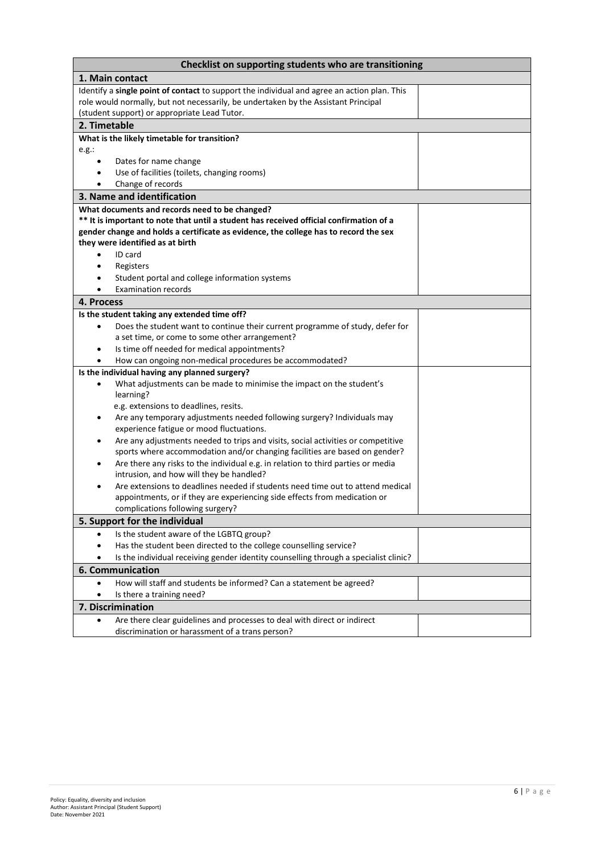| Checklist on supporting students who are transitioning                                                                   |  |  |  |  |
|--------------------------------------------------------------------------------------------------------------------------|--|--|--|--|
| 1. Main contact                                                                                                          |  |  |  |  |
| Identify a single point of contact to support the individual and agree an action plan. This                              |  |  |  |  |
| role would normally, but not necessarily, be undertaken by the Assistant Principal                                       |  |  |  |  |
| (student support) or appropriate Lead Tutor.                                                                             |  |  |  |  |
| 2. Timetable                                                                                                             |  |  |  |  |
| What is the likely timetable for transition?                                                                             |  |  |  |  |
| e.g.:                                                                                                                    |  |  |  |  |
| Dates for name change                                                                                                    |  |  |  |  |
| Use of facilities (toilets, changing rooms)                                                                              |  |  |  |  |
| Change of records                                                                                                        |  |  |  |  |
| 3. Name and identification                                                                                               |  |  |  |  |
| What documents and records need to be changed?                                                                           |  |  |  |  |
| ** It is important to note that until a student has received official confirmation of a                                  |  |  |  |  |
| gender change and holds a certificate as evidence, the college has to record the sex<br>they were identified as at birth |  |  |  |  |
| ID card                                                                                                                  |  |  |  |  |
| Registers                                                                                                                |  |  |  |  |
| Student portal and college information systems                                                                           |  |  |  |  |
| <b>Examination records</b>                                                                                               |  |  |  |  |
| 4. Process                                                                                                               |  |  |  |  |
| Is the student taking any extended time off?                                                                             |  |  |  |  |
| Does the student want to continue their current programme of study, defer for<br>$\bullet$                               |  |  |  |  |
| a set time, or come to some other arrangement?                                                                           |  |  |  |  |
| Is time off needed for medical appointments?                                                                             |  |  |  |  |
| How can ongoing non-medical procedures be accommodated?                                                                  |  |  |  |  |
| Is the individual having any planned surgery?                                                                            |  |  |  |  |
| What adjustments can be made to minimise the impact on the student's<br>$\bullet$                                        |  |  |  |  |
| learning?                                                                                                                |  |  |  |  |
| e.g. extensions to deadlines, resits.                                                                                    |  |  |  |  |
| Are any temporary adjustments needed following surgery? Individuals may<br>٠                                             |  |  |  |  |
| experience fatigue or mood fluctuations.                                                                                 |  |  |  |  |
| Are any adjustments needed to trips and visits, social activities or competitive                                         |  |  |  |  |
| sports where accommodation and/or changing facilities are based on gender?                                               |  |  |  |  |
| Are there any risks to the individual e.g. in relation to third parties or media                                         |  |  |  |  |
| intrusion, and how will they be handled?                                                                                 |  |  |  |  |
| Are extensions to deadlines needed if students need time out to attend medical<br>$\bullet$                              |  |  |  |  |
| appointments, or if they are experiencing side effects from medication or                                                |  |  |  |  |
| complications following surgery?<br>5. Support for the individual                                                        |  |  |  |  |
|                                                                                                                          |  |  |  |  |
| Is the student aware of the LGBTQ group?<br>Has the student been directed to the college counselling service?            |  |  |  |  |
| Is the individual receiving gender identity counselling through a specialist clinic?                                     |  |  |  |  |
| <b>6. Communication</b>                                                                                                  |  |  |  |  |
|                                                                                                                          |  |  |  |  |
| How will staff and students be informed? Can a statement be agreed?<br>$\bullet$                                         |  |  |  |  |
| Is there a training need?                                                                                                |  |  |  |  |
| 7. Discrimination                                                                                                        |  |  |  |  |
| Are there clear guidelines and processes to deal with direct or indirect                                                 |  |  |  |  |
| discrimination or harassment of a trans person?                                                                          |  |  |  |  |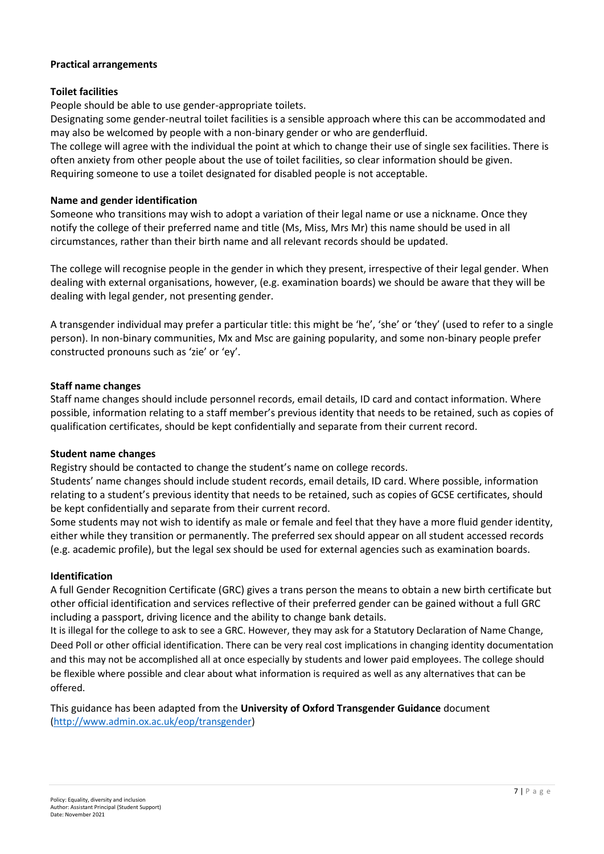### **Practical arrangements**

### **Toilet facilities**

People should be able to use gender-appropriate toilets.

Designating some gender-neutral toilet facilities is a sensible approach where this can be accommodated and may also be welcomed by people with a non-binary gender or who are genderfluid.

The college will agree with the individual the point at which to change their use of single sex facilities. There is often anxiety from other people about the use of toilet facilities, so clear information should be given. Requiring someone to use a toilet designated for disabled people is not acceptable.

#### **Name and gender identification**

Someone who transitions may wish to adopt a variation of their legal name or use a nickname. Once they notify the college of their preferred name and title (Ms, Miss, Mrs Mr) this name should be used in all circumstances, rather than their birth name and all relevant records should be updated.

The college will recognise people in the gender in which they present, irrespective of their legal gender. When dealing with external organisations, however, (e.g. examination boards) we should be aware that they will be dealing with legal gender, not presenting gender.

A transgender individual may prefer a particular title: this might be 'he', 'she' or 'they' (used to refer to a single person). In non-binary communities, Mx and Msc are gaining popularity, and some non-binary people prefer constructed pronouns such as 'zie' or 'ey'.

### **Staff name changes**

Staff name changes should include personnel records, email details, ID card and contact information. Where possible, information relating to a staff member's previous identity that needs to be retained, such as copies of qualification certificates, should be kept confidentially and separate from their current record.

#### **Student name changes**

Registry should be contacted to change the student's name on college records.

Students' name changes should include student records, email details, ID card. Where possible, information relating to a student's previous identity that needs to be retained, such as copies of GCSE certificates, should be kept confidentially and separate from their current record.

Some students may not wish to identify as male or female and feel that they have a more fluid gender identity, either while they transition or permanently. The preferred sex should appear on all student accessed records (e.g. academic profile), but the legal sex should be used for external agencies such as examination boards.

#### **Identification**

A full Gender Recognition Certificate (GRC) gives a trans person the means to obtain a new birth certificate but other official identification and services reflective of their preferred gender can be gained without a full GRC including a passport, driving licence and the ability to change bank details.

It is illegal for the college to ask to see a GRC. However, they may ask for a Statutory Declaration of Name Change, Deed Poll or other official identification. There can be very real cost implications in changing identity documentation and this may not be accomplished all at once especially by students and lower paid employees. The college should be flexible where possible and clear about what information is required as well as any alternatives that can be offered.

This guidance has been adapted from the **University of Oxford Transgender Guidance** document [\(http://www.admin.ox.ac.uk/eop/transgender\)](http://www.admin.ox.ac.uk/eop/transgender)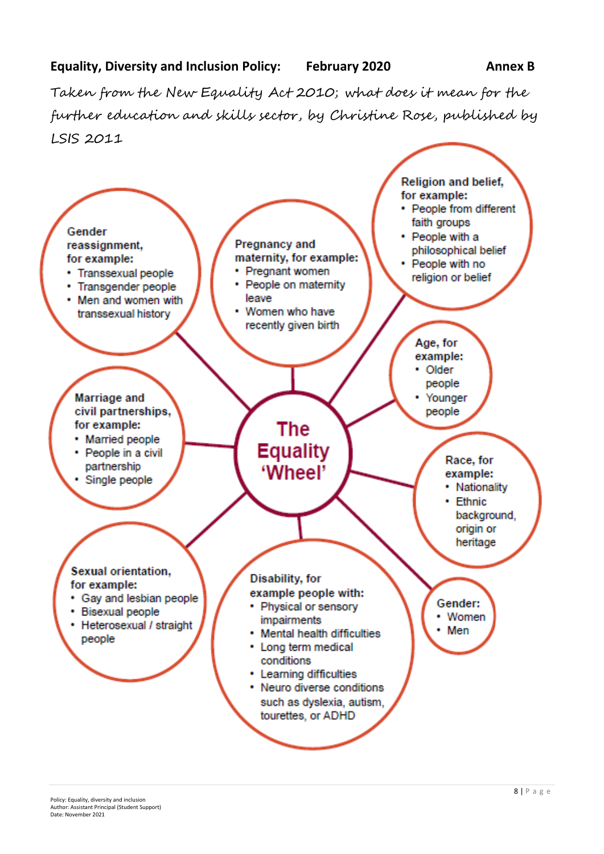## **Equality, Diversity and Inclusion Policy: February 2020 Annex B**

Taken from the New Equality Act 2010; what does it mean for the further education and skills sector, by Christine Rose, published by LSIS 2011

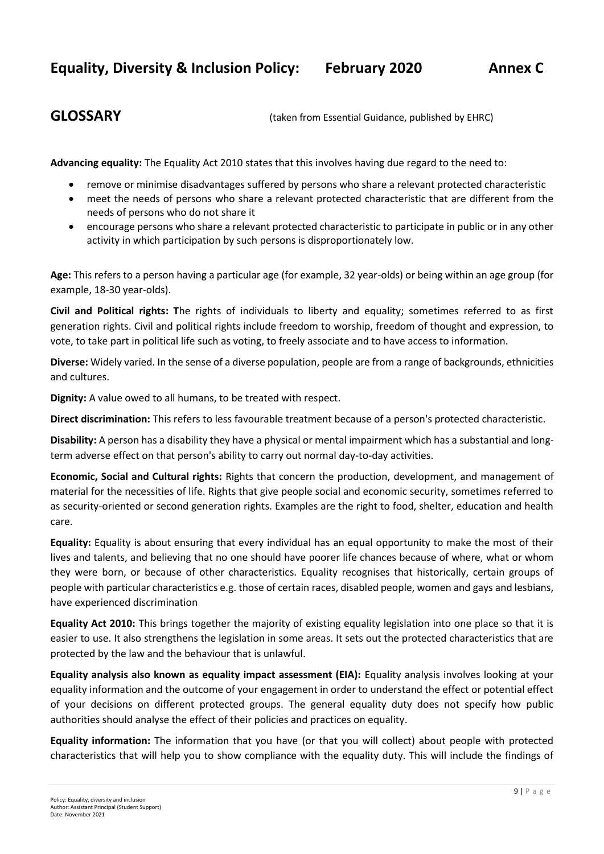**GLOSSARY** (taken from Essential Guidance, published by EHRC)

**Advancing equality:** The Equality Act 2010 states that this involves having due regard to the need to:

- remove or minimise disadvantages suffered by persons who share a relevant protected characteristic
- meet the needs of persons who share a relevant protected characteristic that are different from the needs of persons who do not share it
- encourage persons who share a relevant protected characteristic to participate in public or in any other activity in which participation by such persons is disproportionately low.

**Age:** This refers to a person having a particular age (for example, 32 year-olds) or being within an age group (for example, 18-30 year-olds).

**Civil and Political rights: T**he rights of individuals to liberty and equality; sometimes referred to as first generation rights. Civil and political rights include freedom to worship, freedom of thought and expression, to vote, to take part in political life such as voting, to freely associate and to have access to information.

**Diverse:** Widely varied. In the sense of a diverse population, people are from a range of backgrounds, ethnicities and cultures.

**Dignity:** A value owed to all humans, to be treated with respect.

**Direct discrimination:** This refers to less favourable treatment because of a person's protected characteristic.

**Disability:** A person has a disability they have a physical or mental impairment which has a substantial and longterm adverse effect on that person's ability to carry out normal day-to-day activities.

**Economic, Social and Cultural rights:** Rights that concern the production, development, and management of material for the necessities of life. Rights that give people social and economic security, sometimes referred to as security-oriented or second generation rights. Examples are the right to food, shelter, education and health care.

**Equality:** Equality is about ensuring that every individual has an equal opportunity to make the most of their lives and talents, and believing that no one should have poorer life chances because of where, what or whom they were born, or because of other characteristics. Equality recognises that historically, certain groups of people with particular characteristics e.g. those of certain races, disabled people, women and gays and lesbians, have experienced discrimination

**Equality Act 2010:** This brings together the majority of existing equality legislation into one place so that it is easier to use. It also strengthens the legislation in some areas. It sets out the protected characteristics that are protected by the law and the behaviour that is unlawful.

**Equality analysis also known as equality impact assessment (EIA):** Equality analysis involves looking at your equality information and the outcome of your engagement in order to understand the effect or potential effect of your decisions on different protected groups. The general equality duty does not specify how public authorities should analyse the effect of their policies and practices on equality.

**Equality information:** The information that you have (or that you will collect) about people with protected characteristics that will help you to show compliance with the equality duty. This will include the findings of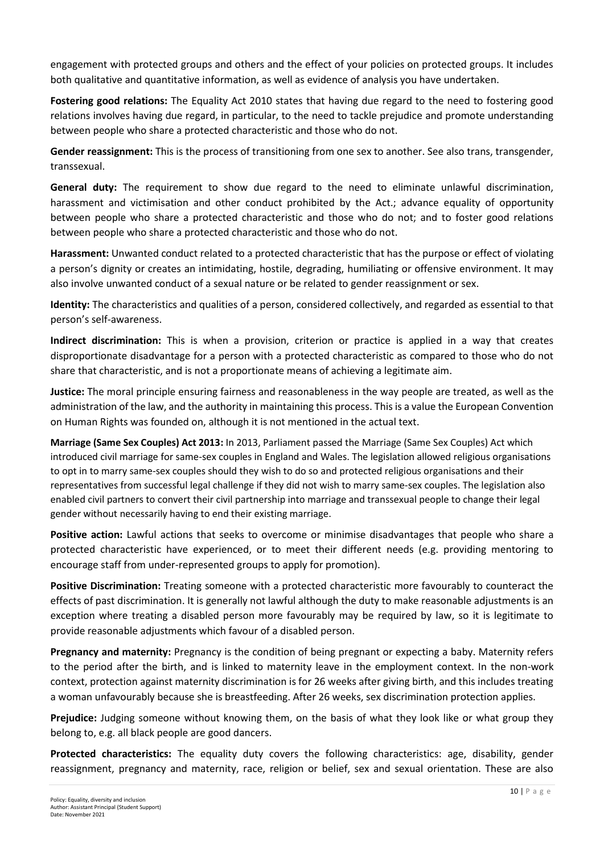engagement with protected groups and others and the effect of your policies on protected groups. It includes both qualitative and quantitative information, as well as evidence of analysis you have undertaken.

**Fostering good relations:** The Equality Act 2010 states that having due regard to the need to fostering good relations involves having due regard, in particular, to the need to tackle prejudice and promote understanding between people who share a protected characteristic and those who do not.

**Gender reassignment:** This is the process of transitioning from one sex to another. See also trans, transgender, transsexual.

**General duty:** The requirement to show due regard to the need to eliminate unlawful discrimination, harassment and victimisation and other conduct prohibited by the Act.; advance equality of opportunity between people who share a protected characteristic and those who do not; and to foster good relations between people who share a protected characteristic and those who do not.

**Harassment:** Unwanted conduct related to a protected characteristic that has the purpose or effect of violating a person's dignity or creates an intimidating, hostile, degrading, humiliating or offensive environment. It may also involve unwanted conduct of a sexual nature or be related to gender reassignment or sex.

**Identity:** The characteristics and qualities of a person, considered collectively, and regarded as essential to that person's self-awareness.

**Indirect discrimination:** This is when a provision, criterion or practice is applied in a way that creates disproportionate disadvantage for a person with a protected characteristic as compared to those who do not share that characteristic, and is not a proportionate means of achieving a legitimate aim.

**Justice:** The moral principle ensuring fairness and reasonableness in the way people are treated, as well as the administration of the law, and the authority in maintaining this process. This is a value the European Convention on Human Rights was founded on, although it is not mentioned in the actual text.

**Marriage (Same Sex Couples) Act 2013:** In 2013, Parliament passed the Marriage (Same Sex Couples) Act which introduced civil marriage for same-sex couples in England and Wales. The legislation allowed religious organisations to opt in to marry same-sex couples should they wish to do so and protected religious organisations and their representatives from successful legal challenge if they did not wish to marry same-sex couples. The legislation also enabled civil partners to convert their civil partnership into marriage and transsexual people to change their legal gender without necessarily having to end their existing marriage.

**Positive action:** Lawful actions that seeks to overcome or minimise disadvantages that people who share a protected characteristic have experienced, or to meet their different needs (e.g. providing mentoring to encourage staff from under-represented groups to apply for promotion).

**Positive Discrimination:** Treating someone with a protected characteristic more favourably to counteract the effects of past discrimination. It is generally not lawful although the duty to make reasonable adjustments is an exception where treating a disabled person more favourably may be required by law, so it is legitimate to provide reasonable adjustments which favour of a disabled person.

**Pregnancy and maternity:** Pregnancy is the condition of being pregnant or expecting a baby. Maternity refers to the period after the birth, and is linked to maternity leave in the employment context. In the non-work context, protection against maternity discrimination is for 26 weeks after giving birth, and this includes treating a woman unfavourably because she is breastfeeding. After 26 weeks, sex discrimination protection applies.

**Prejudice:** Judging someone without knowing them, on the basis of what they look like or what group they belong to, e.g. all black people are good dancers.

**Protected characteristics:** The equality duty covers the following characteristics: age, disability, gender reassignment, pregnancy and maternity, race, religion or belief, sex and sexual orientation. These are also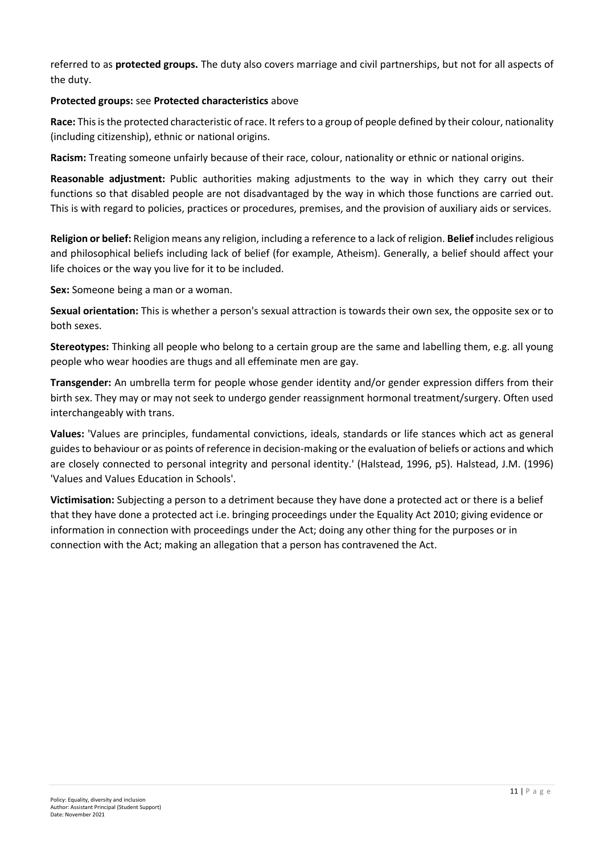referred to as **protected groups.** The duty also covers marriage and civil partnerships, but not for all aspects of the duty.

## **Protected groups:** see **Protected characteristics** above

**Race:** This is the protected characteristic of race. It refers to a group of people defined by their colour, nationality (including citizenship), ethnic or national origins.

**Racism:** Treating someone unfairly because of their race, colour, nationality or ethnic or national origins.

**Reasonable adjustment:** Public authorities making adjustments to the way in which they carry out their functions so that disabled people are not disadvantaged by the way in which those functions are carried out. This is with regard to policies, practices or procedures, premises, and the provision of auxiliary aids or services.

**Religion or belief:** Religion means any religion, including a reference to a lack of religion. **Belief** includes religious and philosophical beliefs including lack of belief (for example, Atheism). Generally, a belief should affect your life choices or the way you live for it to be included.

**Sex:** Someone being a man or a woman.

**Sexual orientation:** This is whether a person's sexual attraction is towards their own sex, the opposite sex or to both sexes.

**Stereotypes:** Thinking all people who belong to a certain group are the same and labelling them, e.g. all young people who wear hoodies are thugs and all effeminate men are gay.

**Transgender:** An umbrella term for people whose gender identity and/or gender expression differs from their birth sex. They may or may not seek to undergo gender reassignment hormonal treatment/surgery. Often used interchangeably with trans.

**Values:** 'Values are principles, fundamental convictions, ideals, standards or life stances which act as general guides to behaviour or as points of reference in decision-making or the evaluation of beliefs or actions and which are closely connected to personal integrity and personal identity.' (Halstead, 1996, p5). Halstead, J.M. (1996) 'Values and Values Education in Schools'.

**Victimisation:** Subjecting a person to a detriment because they have done a protected act or there is a belief that they have done a protected act i.e. bringing proceedings under the Equality Act 2010; giving evidence or information in connection with proceedings under the Act; doing any other thing for the purposes or in connection with the Act; making an allegation that a person has contravened the Act.